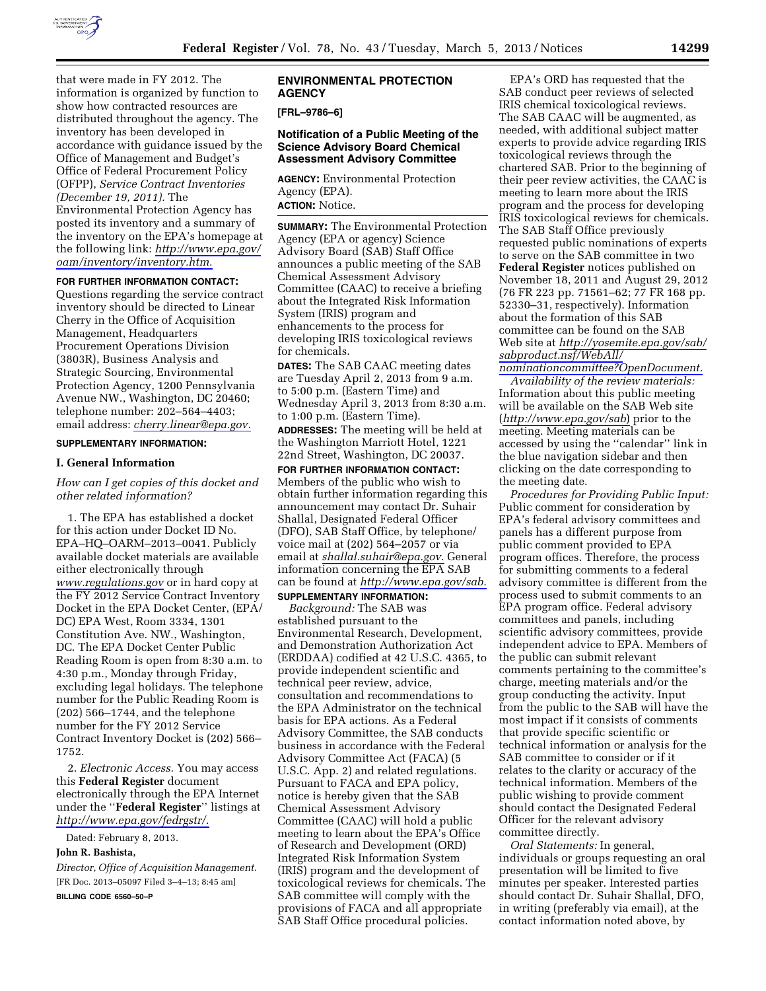

that were made in FY 2012. The information is organized by function to show how contracted resources are distributed throughout the agency. The inventory has been developed in accordance with guidance issued by the Office of Management and Budget's Office of Federal Procurement Policy (OFPP), *Service Contract Inventories (December 19, 2011).* The Environmental Protection Agency has posted its inventory and a summary of the inventory on the EPA's homepage at the following link: *[http://www.epa.gov/](http://www.epa.gov/oam/inventory/inventory.htm)  [oam/inventory/inventory.htm.](http://www.epa.gov/oam/inventory/inventory.htm)* 

# **FOR FURTHER INFORMATION CONTACT:**

Questions regarding the service contract inventory should be directed to Linear Cherry in the Office of Acquisition Management, Headquarters Procurement Operations Division (3803R), Business Analysis and Strategic Sourcing, Environmental Protection Agency, 1200 Pennsylvania Avenue NW., Washington, DC 20460; telephone number: 202–564–4403; email address: *[cherry.linear@epa.gov.](mailto:cherry.linear@epa.gov)* 

#### **SUPPLEMENTARY INFORMATION:**

### **I. General Information**

# *How can I get copies of this docket and other related information?*

1. The EPA has established a docket for this action under Docket ID No. EPA–HQ–OARM–2013–0041. Publicly available docket materials are available either electronically through *[www.regulations.gov](http://www.regulations.gov)* or in hard copy at the FY 2012 Service Contract Inventory Docket in the EPA Docket Center, (EPA/ DC) EPA West, Room 3334, 1301 Constitution Ave. NW., Washington, DC. The EPA Docket Center Public Reading Room is open from 8:30 a.m. to 4:30 p.m., Monday through Friday, excluding legal holidays. The telephone number for the Public Reading Room is (202) 566–1744, and the telephone number for the FY 2012 Service Contract Inventory Docket is (202) 566– 1752.

2. *Electronic Access.* You may access this **Federal Register** document electronically through the EPA Internet under the ''**Federal Register**'' listings at *[http://www.epa.gov/fedrgstr/.](http://www.epa.gov/fedrgstr/)* 

Dated: February 8, 2013.

# **John R. Bashista,**

*Director, Office of Acquisition Management.*  [FR Doc. 2013–05097 Filed 3–4–13; 8:45 am] **BILLING CODE 6560–50–P** 

## **ENVIRONMENTAL PROTECTION AGENCY**

**[FRL–9786–6]** 

### **Notification of a Public Meeting of the Science Advisory Board Chemical Assessment Advisory Committee**

**AGENCY:** Environmental Protection Agency (EPA). **ACTION:** Notice.

**SUMMARY:** The Environmental Protection Agency (EPA or agency) Science Advisory Board (SAB) Staff Office announces a public meeting of the SAB Chemical Assessment Advisory Committee (CAAC) to receive a briefing about the Integrated Risk Information System (IRIS) program and enhancements to the process for developing IRIS toxicological reviews for chemicals.

**DATES:** The SAB CAAC meeting dates are Tuesday April 2, 2013 from 9 a.m. to 5:00 p.m. (Eastern Time) and Wednesday April 3, 2013 from 8:30 a.m. to 1:00 p.m. (Eastern Time).

**ADDRESSES:** The meeting will be held at the Washington Marriott Hotel, 1221 22nd Street, Washington, DC 20037.

**FOR FURTHER INFORMATION CONTACT:**  Members of the public who wish to obtain further information regarding this announcement may contact Dr. Suhair Shallal, Designated Federal Officer (DFO), SAB Staff Office, by telephone/ voice mail at (202) 564–2057 or via email at *[shallal.suhair@epa.gov.](mailto:shallal.suhair@epa.gov)* General information concerning the EPA SAB can be found at *[http://www.epa.gov/sab.](http://www.epa.gov/sab)*  **SUPPLEMENTARY INFORMATION:** 

*Background:* The SAB was established pursuant to the Environmental Research, Development, and Demonstration Authorization Act (ERDDAA) codified at 42 U.S.C. 4365, to provide independent scientific and technical peer review, advice, consultation and recommendations to the EPA Administrator on the technical basis for EPA actions. As a Federal Advisory Committee, the SAB conducts business in accordance with the Federal Advisory Committee Act (FACA) (5 U.S.C. App. 2) and related regulations. Pursuant to FACA and EPA policy, notice is hereby given that the SAB Chemical Assessment Advisory Committee (CAAC) will hold a public meeting to learn about the EPA's Office of Research and Development (ORD) Integrated Risk Information System (IRIS) program and the development of toxicological reviews for chemicals. The SAB committee will comply with the provisions of FACA and all appropriate SAB Staff Office procedural policies.

EPA's ORD has requested that the SAB conduct peer reviews of selected IRIS chemical toxicological reviews. The SAB CAAC will be augmented, as needed, with additional subject matter experts to provide advice regarding IRIS toxicological reviews through the chartered SAB. Prior to the beginning of their peer review activities, the CAAC is meeting to learn more about the IRIS program and the process for developing IRIS toxicological reviews for chemicals. The SAB Staff Office previously requested public nominations of experts to serve on the SAB committee in two **Federal Register** notices published on November 18, 2011 and August 29, 2012 (76 FR 223 pp. 71561–62; 77 FR 168 pp. 52330–31, respectively). Information about the formation of this SAB committee can be found on the SAB Web site at *[http://yosemite.epa.gov/sab/](http://yosemite.epa.gov/sab/sabproduct.nsf/WebAll/nominationcommittee?OpenDocument) [sabproduct.nsf/WebAll/](http://yosemite.epa.gov/sab/sabproduct.nsf/WebAll/nominationcommittee?OpenDocument) [nominationcommittee?OpenDocument.](http://yosemite.epa.gov/sab/sabproduct.nsf/WebAll/nominationcommittee?OpenDocument)* 

*Availability of the review materials:*  Information about this public meeting will be available on the SAB Web site (*<http://www.epa.gov/sab>*) prior to the meeting. Meeting materials can be accessed by using the ''calendar'' link in the blue navigation sidebar and then clicking on the date corresponding to the meeting date.

*Procedures for Providing Public Input:*  Public comment for consideration by EPA's federal advisory committees and panels has a different purpose from public comment provided to EPA program offices. Therefore, the process for submitting comments to a federal advisory committee is different from the process used to submit comments to an EPA program office. Federal advisory committees and panels, including scientific advisory committees, provide independent advice to EPA. Members of the public can submit relevant comments pertaining to the committee's charge, meeting materials and/or the group conducting the activity. Input from the public to the SAB will have the most impact if it consists of comments that provide specific scientific or technical information or analysis for the SAB committee to consider or if it relates to the clarity or accuracy of the technical information. Members of the public wishing to provide comment should contact the Designated Federal Officer for the relevant advisory committee directly.

*Oral Statements:* In general, individuals or groups requesting an oral presentation will be limited to five minutes per speaker. Interested parties should contact Dr. Suhair Shallal, DFO, in writing (preferably via email), at the contact information noted above, by